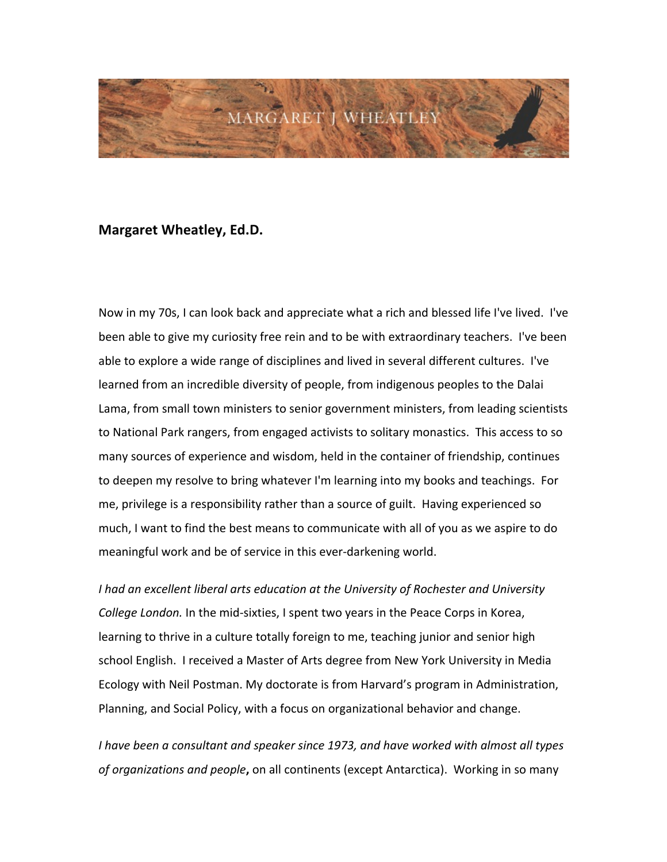

## **Margaret Wheatley, Ed.D.**

Now in my 70s, I can look back and appreciate what a rich and blessed life I've lived. I've been able to give my curiosity free rein and to be with extraordinary teachers. I've been able to explore a wide range of disciplines and lived in several different cultures. I've learned from an incredible diversity of people, from indigenous peoples to the Dalai Lama, from small town ministers to senior government ministers, from leading scientists to National Park rangers, from engaged activists to solitary monastics. This access to so many sources of experience and wisdom, held in the container of friendship, continues to deepen my resolve to bring whatever I'm learning into my books and teachings. For me, privilege is a responsibility rather than a source of guilt. Having experienced so much, I want to find the best means to communicate with all of you as we aspire to do meaningful work and be of service in this ever-darkening world.

*I* had an excellent liberal arts education at the University of Rochester and University *College London.* In the mid-sixties, I spent two years in the Peace Corps in Korea, learning to thrive in a culture totally foreign to me, teaching junior and senior high school English. I received a Master of Arts degree from New York University in Media Ecology with Neil Postman. My doctorate is from Harvard's program in Administration, Planning, and Social Policy, with a focus on organizational behavior and change.

*I* have been a consultant and speaker since 1973, and have worked with almost all types of organizations and people, on all continents (except Antarctica). Working in so many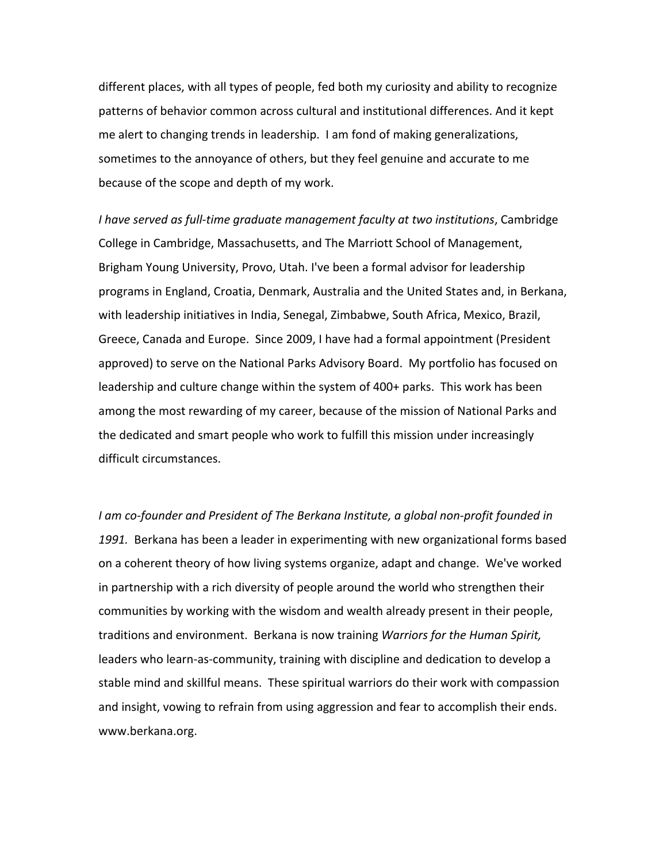different places, with all types of people, fed both my curiosity and ability to recognize patterns of behavior common across cultural and institutional differences. And it kept me alert to changing trends in leadership. I am fond of making generalizations, sometimes to the annoyance of others, but they feel genuine and accurate to me because of the scope and depth of my work.

*I* have served as full-time graduate management faculty at two institutions, Cambridge College in Cambridge, Massachusetts, and The Marriott School of Management, Brigham Young University, Provo, Utah. I've been a formal advisor for leadership programs in England, Croatia, Denmark, Australia and the United States and, in Berkana, with leadership initiatives in India, Senegal, Zimbabwe, South Africa, Mexico, Brazil, Greece, Canada and Europe. Since 2009, I have had a formal appointment (President approved) to serve on the National Parks Advisory Board. My portfolio has focused on leadership and culture change within the system of 400+ parks. This work has been among the most rewarding of my career, because of the mission of National Parks and the dedicated and smart people who work to fulfill this mission under increasingly difficult circumstances.

*I* am co-founder and President of The Berkana Institute, a global non-profit founded in 1991. Berkana has been a leader in experimenting with new organizational forms based on a coherent theory of how living systems organize, adapt and change. We've worked in partnership with a rich diversity of people around the world who strengthen their communities by working with the wisdom and wealth already present in their people, traditions and environment. Berkana is now training *Warriors for the Human Spirit,* leaders who learn-as-community, training with discipline and dedication to develop a stable mind and skillful means. These spiritual warriors do their work with compassion and insight, vowing to refrain from using aggression and fear to accomplish their ends. www.berkana.org.